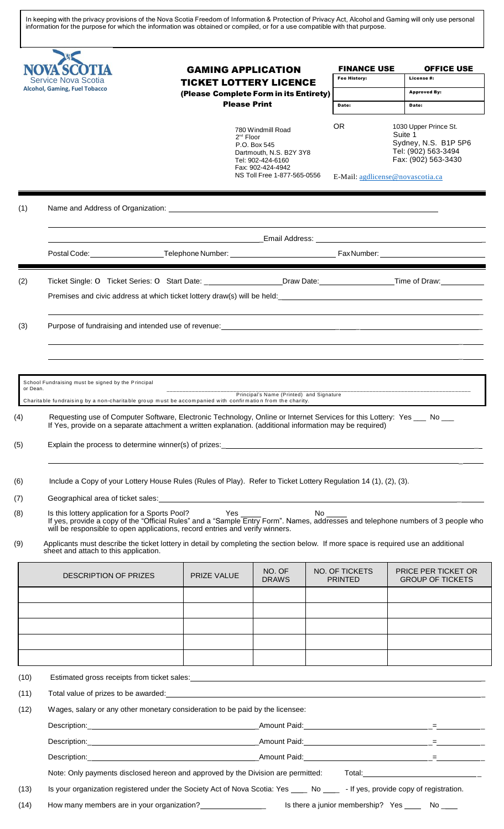In keeping with the privacy provisions of the Nova Scotia Freedom of Information & Protection of Privacy Act, Alcohol and Gaming will only use personal information for the purpose for which the information was obtained or compiled, or for a use compatible with that purpose.

| (1)<br>(2)<br>(3)<br>or Dean. | <b>Service Nova Scotia</b><br><b>Alcohol, Gaming, Fuel Tobacco</b><br>School Fundraising must be signed by the Principal<br>Charitable fundraising by a non-charitable group must be accompanied with confirmation from the charity.<br>Requesting use of Computer Software, Electronic Technology, Online or Internet Services for this Lottery: Yes ___ No ___<br>If Yes, provide on a separate attachment a written explanation. (additional information may be required) | <b>Please Print</b><br>$2^{nd}$ Floor<br><u> 1989 - Johann Stoff, deutscher Stoffen und der Stoffen und der Stoffen und der Stoffen und der Stoffen und der</u> | <b>TICKET LOTTERY LICENCE</b><br>(Please Complete Form in its Entirety)<br>780 Windmill Road<br>P.O. Box 545<br>Dartmouth, N.S. B2Y 3Y8<br>Tel: 902-424-6160<br>Fax: 902-424-4942<br>NS Toll Free 1-877-565-0556<br>Principal's Name (Printed) and Signature | <b>Fee History:</b><br>Date:<br><b>OR</b> | License#:<br><b>Approved By:</b><br>Date:<br>1030 Upper Prince St.<br>Suite 1<br>Sydney, N.S. B1P 5P6<br>Tel: (902) 563-3494<br>Fax: (902) 563-3430<br>E-Mail: agdlicense@novascotia.ca |
|-------------------------------|------------------------------------------------------------------------------------------------------------------------------------------------------------------------------------------------------------------------------------------------------------------------------------------------------------------------------------------------------------------------------------------------------------------------------------------------------------------------------|-----------------------------------------------------------------------------------------------------------------------------------------------------------------|--------------------------------------------------------------------------------------------------------------------------------------------------------------------------------------------------------------------------------------------------------------|-------------------------------------------|-----------------------------------------------------------------------------------------------------------------------------------------------------------------------------------------|
|                               |                                                                                                                                                                                                                                                                                                                                                                                                                                                                              |                                                                                                                                                                 |                                                                                                                                                                                                                                                              |                                           |                                                                                                                                                                                         |
|                               |                                                                                                                                                                                                                                                                                                                                                                                                                                                                              |                                                                                                                                                                 |                                                                                                                                                                                                                                                              |                                           |                                                                                                                                                                                         |
|                               |                                                                                                                                                                                                                                                                                                                                                                                                                                                                              |                                                                                                                                                                 |                                                                                                                                                                                                                                                              |                                           |                                                                                                                                                                                         |
|                               |                                                                                                                                                                                                                                                                                                                                                                                                                                                                              |                                                                                                                                                                 |                                                                                                                                                                                                                                                              |                                           |                                                                                                                                                                                         |
|                               |                                                                                                                                                                                                                                                                                                                                                                                                                                                                              |                                                                                                                                                                 |                                                                                                                                                                                                                                                              |                                           |                                                                                                                                                                                         |
|                               |                                                                                                                                                                                                                                                                                                                                                                                                                                                                              |                                                                                                                                                                 |                                                                                                                                                                                                                                                              |                                           |                                                                                                                                                                                         |
|                               |                                                                                                                                                                                                                                                                                                                                                                                                                                                                              |                                                                                                                                                                 |                                                                                                                                                                                                                                                              |                                           |                                                                                                                                                                                         |
|                               |                                                                                                                                                                                                                                                                                                                                                                                                                                                                              |                                                                                                                                                                 |                                                                                                                                                                                                                                                              |                                           |                                                                                                                                                                                         |
|                               |                                                                                                                                                                                                                                                                                                                                                                                                                                                                              |                                                                                                                                                                 |                                                                                                                                                                                                                                                              |                                           |                                                                                                                                                                                         |
|                               |                                                                                                                                                                                                                                                                                                                                                                                                                                                                              |                                                                                                                                                                 |                                                                                                                                                                                                                                                              |                                           |                                                                                                                                                                                         |
|                               |                                                                                                                                                                                                                                                                                                                                                                                                                                                                              |                                                                                                                                                                 |                                                                                                                                                                                                                                                              |                                           |                                                                                                                                                                                         |
|                               |                                                                                                                                                                                                                                                                                                                                                                                                                                                                              |                                                                                                                                                                 |                                                                                                                                                                                                                                                              |                                           |                                                                                                                                                                                         |
|                               |                                                                                                                                                                                                                                                                                                                                                                                                                                                                              |                                                                                                                                                                 |                                                                                                                                                                                                                                                              |                                           |                                                                                                                                                                                         |
|                               |                                                                                                                                                                                                                                                                                                                                                                                                                                                                              |                                                                                                                                                                 |                                                                                                                                                                                                                                                              |                                           |                                                                                                                                                                                         |
|                               |                                                                                                                                                                                                                                                                                                                                                                                                                                                                              |                                                                                                                                                                 |                                                                                                                                                                                                                                                              |                                           |                                                                                                                                                                                         |
|                               |                                                                                                                                                                                                                                                                                                                                                                                                                                                                              |                                                                                                                                                                 |                                                                                                                                                                                                                                                              |                                           |                                                                                                                                                                                         |
|                               |                                                                                                                                                                                                                                                                                                                                                                                                                                                                              |                                                                                                                                                                 |                                                                                                                                                                                                                                                              |                                           |                                                                                                                                                                                         |
|                               |                                                                                                                                                                                                                                                                                                                                                                                                                                                                              |                                                                                                                                                                 |                                                                                                                                                                                                                                                              |                                           |                                                                                                                                                                                         |
|                               | Include a Copy of your Lottery House Rules (Rules of Play). Refer to Ticket Lottery Regulation 14 (1), (2), (3).                                                                                                                                                                                                                                                                                                                                                             |                                                                                                                                                                 |                                                                                                                                                                                                                                                              |                                           |                                                                                                                                                                                         |
|                               | Is this lottery application for a Sports Pool? Yes                                                                                                                                                                                                                                                                                                                                                                                                                           |                                                                                                                                                                 |                                                                                                                                                                                                                                                              | No control                                |                                                                                                                                                                                         |
|                               | If yes, provide a copy of the "Official Rules" and a "Sample Entry Form". Names, addresses and telephone numbers of 3 people who<br>will be responsible to open applications, record entries and verify winners.                                                                                                                                                                                                                                                             |                                                                                                                                                                 |                                                                                                                                                                                                                                                              |                                           |                                                                                                                                                                                         |
|                               | Applicants must describe the ticket lottery in detail by completing the section below. If more space is required use an additional<br>sheet and attach to this application.                                                                                                                                                                                                                                                                                                  |                                                                                                                                                                 |                                                                                                                                                                                                                                                              |                                           |                                                                                                                                                                                         |
|                               | DESCRIPTION OF PRIZES                                                                                                                                                                                                                                                                                                                                                                                                                                                        | PRIZE VALUE                                                                                                                                                     | NO. OF                                                                                                                                                                                                                                                       | NO. OF TICKETS                            | <b>PRICE PER TICKET OR</b>                                                                                                                                                              |
|                               |                                                                                                                                                                                                                                                                                                                                                                                                                                                                              |                                                                                                                                                                 | <b>DRAWS</b>                                                                                                                                                                                                                                                 | <b>PRINTED</b>                            | <b>GROUP OF TICKETS</b>                                                                                                                                                                 |
|                               |                                                                                                                                                                                                                                                                                                                                                                                                                                                                              |                                                                                                                                                                 |                                                                                                                                                                                                                                                              |                                           |                                                                                                                                                                                         |
|                               |                                                                                                                                                                                                                                                                                                                                                                                                                                                                              |                                                                                                                                                                 |                                                                                                                                                                                                                                                              |                                           |                                                                                                                                                                                         |
|                               |                                                                                                                                                                                                                                                                                                                                                                                                                                                                              |                                                                                                                                                                 |                                                                                                                                                                                                                                                              |                                           |                                                                                                                                                                                         |
|                               |                                                                                                                                                                                                                                                                                                                                                                                                                                                                              |                                                                                                                                                                 |                                                                                                                                                                                                                                                              |                                           |                                                                                                                                                                                         |
| (10)                          | Estimated gross receipts from ticket sales:<br><u>Estimated gross receipts from ticket sales:</u>                                                                                                                                                                                                                                                                                                                                                                            |                                                                                                                                                                 |                                                                                                                                                                                                                                                              |                                           |                                                                                                                                                                                         |
| (11)                          | Total value of prizes to be awarded: example and a series of the state of the state of prizes to be awarded:                                                                                                                                                                                                                                                                                                                                                                 |                                                                                                                                                                 |                                                                                                                                                                                                                                                              |                                           |                                                                                                                                                                                         |
| (12)                          | Wages, salary or any other monetary consideration to be paid by the licensee:                                                                                                                                                                                                                                                                                                                                                                                                |                                                                                                                                                                 |                                                                                                                                                                                                                                                              |                                           |                                                                                                                                                                                         |
|                               |                                                                                                                                                                                                                                                                                                                                                                                                                                                                              |                                                                                                                                                                 |                                                                                                                                                                                                                                                              |                                           |                                                                                                                                                                                         |
|                               |                                                                                                                                                                                                                                                                                                                                                                                                                                                                              |                                                                                                                                                                 |                                                                                                                                                                                                                                                              |                                           |                                                                                                                                                                                         |
|                               |                                                                                                                                                                                                                                                                                                                                                                                                                                                                              |                                                                                                                                                                 |                                                                                                                                                                                                                                                              |                                           |                                                                                                                                                                                         |

(14) How many members are in your organization?<br>  $\frac{1}{2}$  Is there a junior membership? Yes  $\frac{1}{2}$  No  $\frac{1}{2}$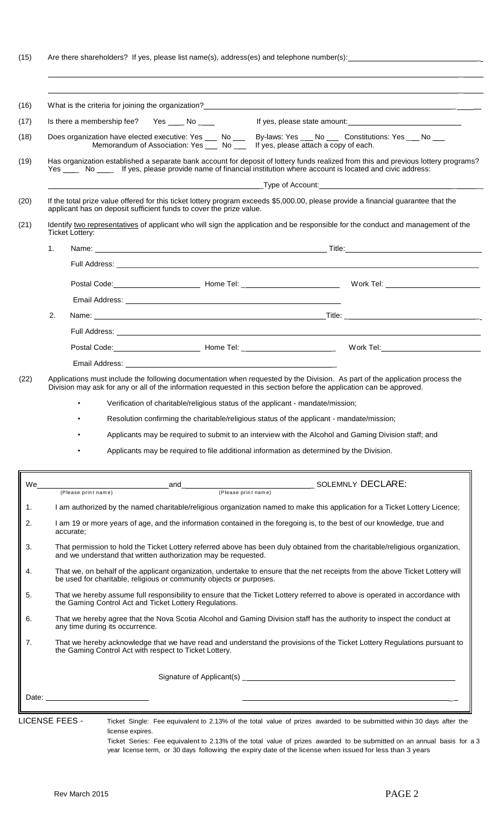(15) Are there shareholders? If yes, please list name(s), address(es) and telephone number(s): \_

|    | Is there a membership fee? Yes ____ No ____                                                                                                                                                                                                                         |                                                                                 |                                       |  |
|----|---------------------------------------------------------------------------------------------------------------------------------------------------------------------------------------------------------------------------------------------------------------------|---------------------------------------------------------------------------------|---------------------------------------|--|
|    | Does organization have elected executive: Yes ___ No ___ By-laws: Yes ___ No ___ Constitutions: Yes ___ No ___<br>Memorandum of Association: Yes ___ No ___ lf yes, please attach a copy of each.                                                                   |                                                                                 |                                       |  |
|    | Has organization established a separate bank account for deposit of lottery funds realized from this and previous lottery programs?<br>Yes __ No __ If yes, please provide name of financial institution where account is located and civic address:                |                                                                                 |                                       |  |
|    | If the total prize value offered for this ticket lottery program exceeds \$5,000.00, please provide a financial guarantee that the<br>applicant has on deposit sufficient funds to cover the prize value.                                                           |                                                                                 |                                       |  |
|    | Identify two representatives of applicant who will sign the application and be responsible for the conduct and management of the<br><b>Ticket Lottery:</b>                                                                                                          |                                                                                 |                                       |  |
|    | 1.                                                                                                                                                                                                                                                                  |                                                                                 |                                       |  |
|    |                                                                                                                                                                                                                                                                     |                                                                                 |                                       |  |
|    |                                                                                                                                                                                                                                                                     |                                                                                 |                                       |  |
|    |                                                                                                                                                                                                                                                                     |                                                                                 |                                       |  |
|    | 2.                                                                                                                                                                                                                                                                  |                                                                                 |                                       |  |
|    |                                                                                                                                                                                                                                                                     |                                                                                 |                                       |  |
|    |                                                                                                                                                                                                                                                                     |                                                                                 |                                       |  |
|    |                                                                                                                                                                                                                                                                     |                                                                                 |                                       |  |
|    | Resolution confirming the charitable/religious status of the applicant - mandate/mission;                                                                                                                                                                           | Verification of charitable/religious status of the applicant - mandate/mission; |                                       |  |
|    | Applicants may be required to submit to an interview with the Alcohol and Gaming Division staff; and<br>Applicants may be required to file additional information as determined by the Division.                                                                    |                                                                                 |                                       |  |
|    | and                                                                                                                                                                                                                                                                 |                                                                                 |                                       |  |
|    | (Please print name)                                                                                                                                                                                                                                                 |                                                                                 | (Please print name) SOLEMNLY DECLARE: |  |
|    | I am authorized by the named charitable/religious organization named to make this application for a Ticket Lottery Licence;<br>I am 19 or more years of age, and the information contained in the foregoing is, to the best of our knowledge, true and<br>accurate; |                                                                                 |                                       |  |
|    | That permission to hold the Ticket Lottery referred above has been duly obtained from the charitable/religious organization,<br>and we understand that written authorization may be requested.                                                                      |                                                                                 |                                       |  |
|    | That we, on behalf of the applicant organization, undertake to ensure that the net receipts from the above Ticket Lottery will<br>be used for charitable, religious or community objects or purposes.                                                               |                                                                                 |                                       |  |
|    | That we hereby assume full responsibility to ensure that the Ticket Lottery referred to above is operated in accordance with<br>the Gaming Control Act and Ticket Lottery Regulations.                                                                              |                                                                                 |                                       |  |
|    | That we hereby agree that the Nova Scotia Alcohol and Gaming Division staff has the authority to inspect the conduct at<br>any time during its occurrence.                                                                                                          |                                                                                 |                                       |  |
|    | That we hereby acknowledge that we have read and understand the provisions of the Ticket Lottery Regulations pursuant to<br>the Gaming Control Act with respect to Ticket Lottery.                                                                                  |                                                                                 |                                       |  |
| We |                                                                                                                                                                                                                                                                     |                                                                                 |                                       |  |

license expires.

Ticket Series: Fee equivalent to 2.13% of the total value of prizes awarded to be submitted on an annual basis for a 3 year license term, or 30 days following the expiry date of the license when issued for less than 3 years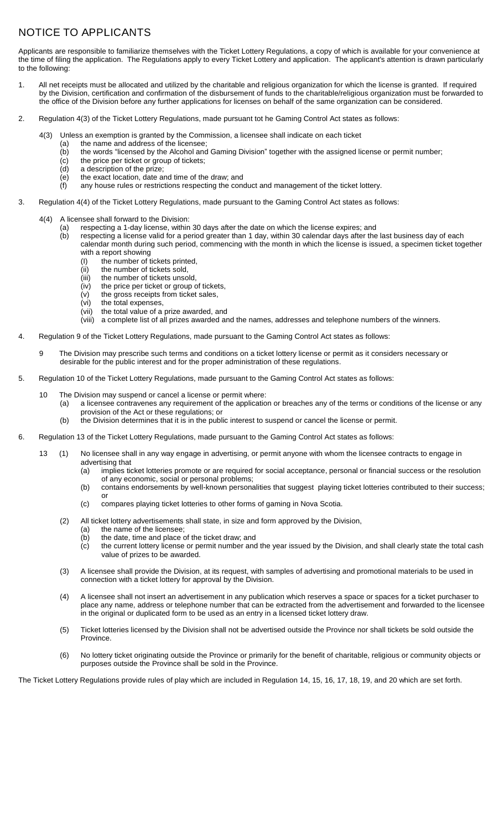## NOTICE TO APPLICANTS

Applicants are responsible to familiarize themselves with the Ticket Lottery Regulations, a copy of which is available for your convenience at the time of filing the application. The Regulations apply to every Ticket Lottery and application. The applicant's attention is drawn particularly to the following:

- 1. All net receipts must be allocated and utilized by the charitable and religious organization for which the license is granted. If required by the Division, certification and confirmation of the disbursement of funds to the charitable/religious organization must be forwarded to the office of the Division before any further applications for licenses on behalf of the same organization can be considered.
- 2. Regulation 4(3) of the Ticket Lottery Regulations, made pursuant tot he Gaming Control Act states as follows:
	- 4(3) Unless an exemption is granted by the Commission, a licensee shall indicate on each ticket
		- (a) the name and address of the licensee;<br>(b) the words "licensed by the Alcohol and the words "licensed by the Alcohol and Gaming Division" together with the assigned license or permit number;
		- (c) the price per ticket or group of tickets;
		- (d) a description of the prize;
			-
		- $\overline{e}$  the exact location, date and time of the draw; and  $\overline{f}$  any house rules or restrictions respecting the cond any house rules or restrictions respecting the conduct and management of the ticket lottery.
- 3. Regulation 4(4) of the Ticket Lottery Regulations, made pursuant to the Gaming Control Act states as follows:
	- 4(4) A licensee shall forward to the Division:
		- (a) respecting a 1-day license, within 30 days after the date on which the license expires; and
		- (b) respecting a license valid for a period greater than 1 day, within 30 calendar days after the last business day of each calendar month during such period, commencing with the month in which the license is issued, a specimen ticket together
			- with a report showing
			- (I) the number of tickets printed,
			- (ii) the number of tickets sold,
			- (iii) the number of tickets unsold,
			- (iv) the price per ticket or group of tickets, (v) the gross receipts from ticket sales,
			- (vi) the total expenses,
			-
			- (vii) the total value of a prize awarded, and<br>(viii) a complete list of all prizes awarded are a complete list of all prizes awarded and the names, addresses and telephone numbers of the winners.
- 4. Regulation 9 of the Ticket Lottery Regulations, made pursuant to the Gaming Control Act states as follows:
	- 9 The Division may prescribe such terms and conditions on a ticket lottery license or permit as it considers necessary or desirable for the public interest and for the proper administration of these regulations.
- 5. Regulation 10 of the Ticket Lottery Regulations, made pursuant to the Gaming Control Act states as follows:
	- 10 The Division may suspend or cancel a license or permit where: (a) a licensee contravenes any requirement of the application or breaches any of the terms or conditions of the license or any provision of the Act or these regulations; or
		- (b) the Division determines that it is in the public interest to suspend or cancel the license or permit.
- 6. Regulation 13 of the Ticket Lottery Regulations, made pursuant to the Gaming Control Act states as follows:
	- 13 (1) No licensee shall in any way engage in advertising, or permit anyone with whom the licensee contracts to engage in advertising that
		- (a) implies ticket lotteries promote or are required for social acceptance, personal or financial success or the resolution of any economic, social or personal problems;
		- (b) contains endorsements by well-known personalities that suggest playing ticket lotteries contributed to their success;
		- (c) compares playing ticket lotteries to other forms of gaming in Nova Scotia.
		- (2) All ticket lottery advertisements shall state, in size and form approved by the Division,
			- (a) the name of the licensee;

or

- (b) the date, time and place of the ticket draw; and
- (c) the current lottery license or permit number and the year issued by the Division, and shall clearly state the total cash value of prizes to be awarded.
- (3) A licensee shall provide the Division, at its request, with samples of advertising and promotional materials to be used in connection with a ticket lottery for approval by the Division.
- (4) A licensee shall not insert an advertisement in any publication which reserves a space or spaces for a ticket purchaser to place any name, address or telephone number that can be extracted from the advertisement and forwarded to the licensee in the original or duplicated form to be used as an entry in a licensed ticket lottery draw.
- (5) Ticket lotteries licensed by the Division shall not be advertised outside the Province nor shall tickets be sold outside the Province.
- (6) No lottery ticket originating outside the Province or primarily for the benefit of charitable, religious or community objects or purposes outside the Province shall be sold in the Province.

The Ticket Lottery Regulations provide rules of play which are included in Regulation 14, 15, 16, 17, 18, 19, and 20 which are set forth.